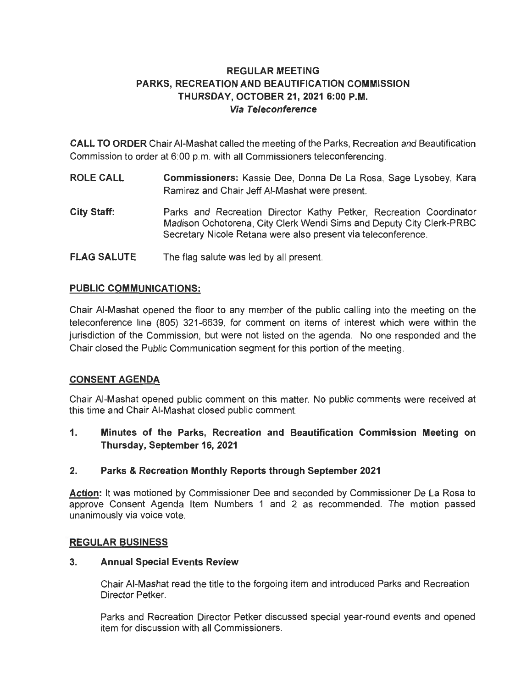# **REGULAR MEETING PARKS, RECREATION AND BEAUTIFICATION COMMISSION THURSDAY, OCTOBER 21, 2021 6:00 P.M. Via Teleconference**

**CALL TO ORDER** Chair AI-Mashat called the meeting of the Parks, Recreation and Beautification Commission to order at 6:00 p.m. with all Commissioners teleconferencing.

- **ROLE CALL Commissioners:** Kassie Dee, Donna De La Rosa, Sage Lysobey, Kara Ramirez and Chair Jeff AI-Mashat were present.
- **City Staff:**  Parks and Recreation Director Kathy Petker, Recreation Coordinator Madison Ochotorena, City Clerk Wendi Sims and Deputy City Clerk-PRBC Secretary Nicole Retana were also present via teleconference.
- **FLAG SALUTE**  The flag salute was led by all present.

# **PUBLIC COMMUNICATIONS:**

Chair AI-Mashat opened the floor to any member of the public calling into the meeting on the teleconference line (805) 321-6639, for comment on items of interest which were within the jurisdiction of the Commission, but were not listed on the agenda. No one responded and the Chair closed the Public Communication segment for this portion of the meeting.

# **CONSENT AGENDA**

Chair AI-Mashat opened public comment on this matter. No public comments were received at this time and Chair AI-Mashat closed public comment.

**1. Minutes of the Parks, Recreation and Beautification Commission Meeting on Thursday, September 16, 2021** 

# **2. Parks & Recreation Monthly Reports through September 2021**

**Action:** It was motioned by Commissioner Dee and seconded by Commissioner De La Rosa to approve Consent Agenda Item Numbers 1 and 2 as recommended. The motion passed unanimously via voice vote.

### **REGULAR BUSINESS**

### **3. Annual Special Events Review**

Chair AI-Mashat read the title to the forgoing item and introduced Parks and Recreation Director Petker.

Parks and Recreation Director Petker discussed special year-round events and opened item for discussion with all Commissioners.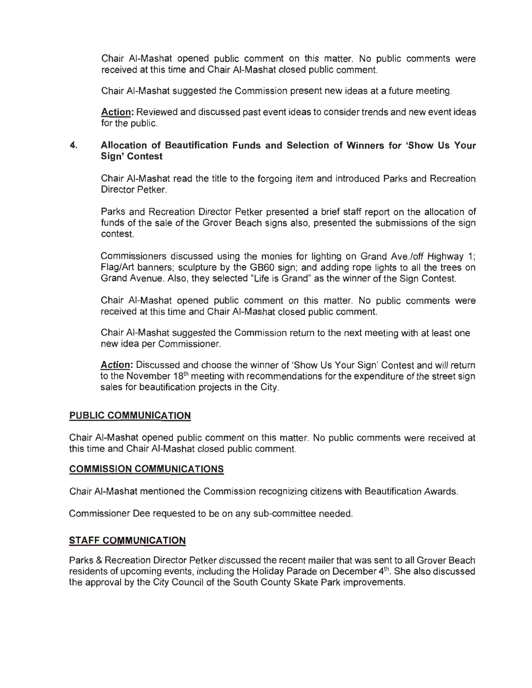Chair AI-Mashat opened public comment on this matter. No public comments were received at this time and Chair AI-Mashat closed public comment.

Chair AI-Mashat suggested the Commission present new ideas at a future meeting.

**Action:** Reviewed and discussed past event ideas to consider trends and new event ideas for the public.

# **4. Allocation of Beautification Funds and Selection of Winners for 'Show Us Your Sign' Contest**

Chair AI-Mashat read the title to the forgoing item and introduced Parks and Recreation Director Petker.

Parks and Recreation Director Petker presented a brief staff report on the allocation of funds of the sale of the Grover Beach signs also, presented the submissions of the sign contest.

Commissioners discussed using the monies for lighting on Grand Ave./off Highway 1; Flag/Art banners; sculpture by the GB60 sign; and adding rope lights to all the trees on Grand Avenue. Also, they selected "Life is Grand" as the winner of the Sign Contest.

Chair AI-Mashat opened public comment on this matter. No public comments were received at this time and Chair AI-Mashat closed public comment.

Chair AI-Mashat suggested the Commission return to the next meeting with at least one new idea per Commissioner.

**Action:** Discussed and choose the winner of 'Show Us Your Sign' Contest and will return to the November 18<sup>th</sup> meeting with recommendations for the expenditure of the street sign sales for beautification projects in the City.

### **PUBLIC COMMUNICATION**

Chair AI-Mashat opened public comment on this matter. No public comments were received at this time and Chair AI-Mashat closed public comment.

### **COMMISSION COMMUNICATIONS**

Chair AI-Mashat mentioned the Commission recognizing citizens with Beautification Awards.

Commissioner Dee requested to be on any sub-committee needed.

### **STAFF COMMUNICATION**

Parks & Recreation Director Petker discussed the recent mailer that was sent to all Grover Beach residents of upcoming events, including the Holiday Parade on December  $4<sup>th</sup>$ . She also discussed the approval by the City Council of the South County Skate Park improvements.